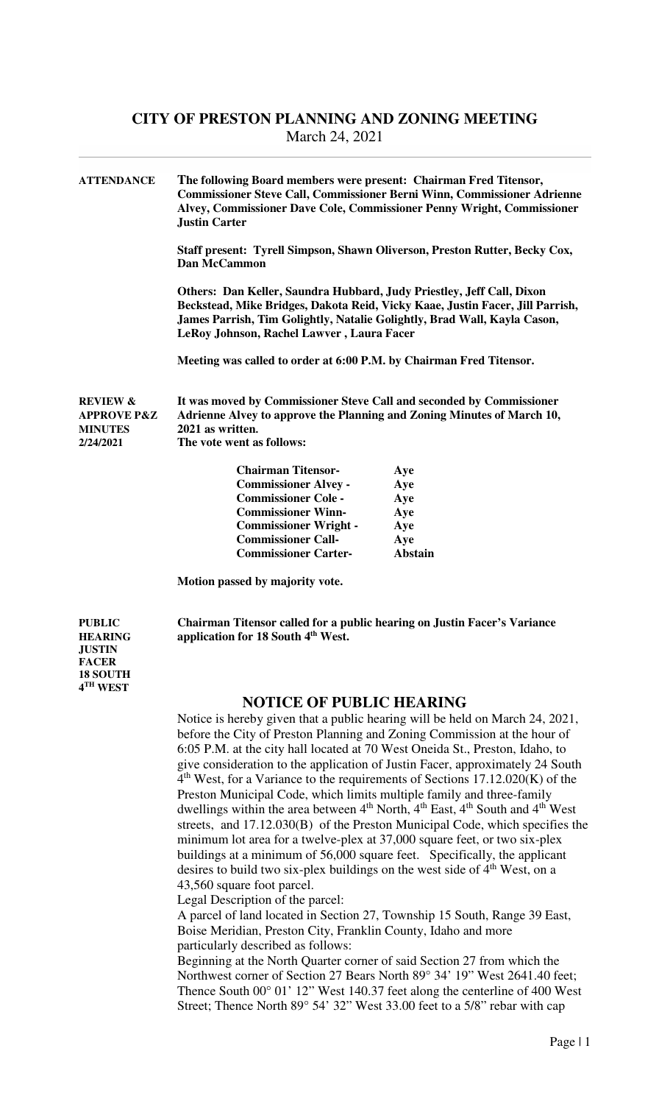| <b>ATTENDANCE</b>                                                            | The following Board members were present: Chairman Fred Titensor,<br><b>Justin Carter</b>                                                                                                                                                                                       | <b>Commissioner Steve Call, Commissioner Berni Winn, Commissioner Adrienne</b><br>Alvey, Commissioner Dave Cole, Commissioner Penny Wright, Commissioner |  |
|------------------------------------------------------------------------------|---------------------------------------------------------------------------------------------------------------------------------------------------------------------------------------------------------------------------------------------------------------------------------|----------------------------------------------------------------------------------------------------------------------------------------------------------|--|
|                                                                              | Staff present: Tyrell Simpson, Shawn Oliverson, Preston Rutter, Becky Cox,<br>Dan McCammon                                                                                                                                                                                      |                                                                                                                                                          |  |
|                                                                              | Others: Dan Keller, Saundra Hubbard, Judy Priestley, Jeff Call, Dixon<br>Beckstead, Mike Bridges, Dakota Reid, Vicky Kaae, Justin Facer, Jill Parrish,<br>James Parrish, Tim Golightly, Natalie Golightly, Brad Wall, Kayla Cason,<br>LeRoy Johnson, Rachel Lawver, Laura Facer |                                                                                                                                                          |  |
|                                                                              | Meeting was called to order at 6:00 P.M. by Chairman Fred Titensor.                                                                                                                                                                                                             |                                                                                                                                                          |  |
| <b>REVIEW &amp;</b><br><b>APPROVE P&amp;Z</b><br><b>MINUTES</b><br>2/24/2021 | It was moved by Commissioner Steve Call and seconded by Commissioner<br>Adrienne Alvey to approve the Planning and Zoning Minutes of March 10,<br>2021 as written.<br>The vote went as follows:                                                                                 |                                                                                                                                                          |  |
|                                                                              | <b>Chairman Titensor-</b>                                                                                                                                                                                                                                                       | Aye                                                                                                                                                      |  |
|                                                                              | <b>Commissioner Alvey -</b>                                                                                                                                                                                                                                                     | Aye                                                                                                                                                      |  |
|                                                                              | <b>Commissioner Cole -</b>                                                                                                                                                                                                                                                      | Aye                                                                                                                                                      |  |
|                                                                              | <b>Commissioner Winn-</b>                                                                                                                                                                                                                                                       | Aye                                                                                                                                                      |  |
|                                                                              | <b>Commissioner Wright -</b>                                                                                                                                                                                                                                                    | Aye                                                                                                                                                      |  |
|                                                                              | <b>Commissioner Call-</b>                                                                                                                                                                                                                                                       | Aye                                                                                                                                                      |  |

 **Commissioner Carter- Abstain** 

 **Motion passed by majority vote.** 

**PUBLIC Chairman Titensor called for a public hearing on Justin Facer's Variance HEARING application for 18 South 4th West.** 

**JUSTIN FACER 18 SOUTH 4 TH WEST** 

#### **NOTICE OF PUBLIC HEARING**

Notice is hereby given that a public hearing will be held on March 24, 2021, before the City of Preston Planning and Zoning Commission at the hour of 6:05 P.M. at the city hall located at 70 West Oneida St., Preston, Idaho, to give consideration to the application of Justin Facer, approximately 24 South 4th West, for a Variance to the requirements of Sections 17.12.020(K) of the Preston Municipal Code, which limits multiple family and three-family dwellings within the area between 4<sup>th</sup> North, 4<sup>th</sup> East, 4<sup>th</sup> South and 4<sup>th</sup> West streets, and 17.12.030(B) of the Preston Municipal Code, which specifies the minimum lot area for a twelve-plex at 37,000 square feet, or two six-plex buildings at a minimum of 56,000 square feet. Specifically, the applicant desires to build two six-plex buildings on the west side of 4<sup>th</sup> West, on a 43,560 square foot parcel.

Legal Description of the parcel:

 A parcel of land located in Section 27, Township 15 South, Range 39 East, Boise Meridian, Preston City, Franklin County, Idaho and more particularly described as follows:

 Beginning at the North Quarter corner of said Section 27 from which the Northwest corner of Section 27 Bears North 89° 34' 19" West 2641.40 feet; Thence South 00° 01' 12" West 140.37 feet along the centerline of 400 West Street; Thence North 89° 54' 32" West 33.00 feet to a 5/8" rebar with cap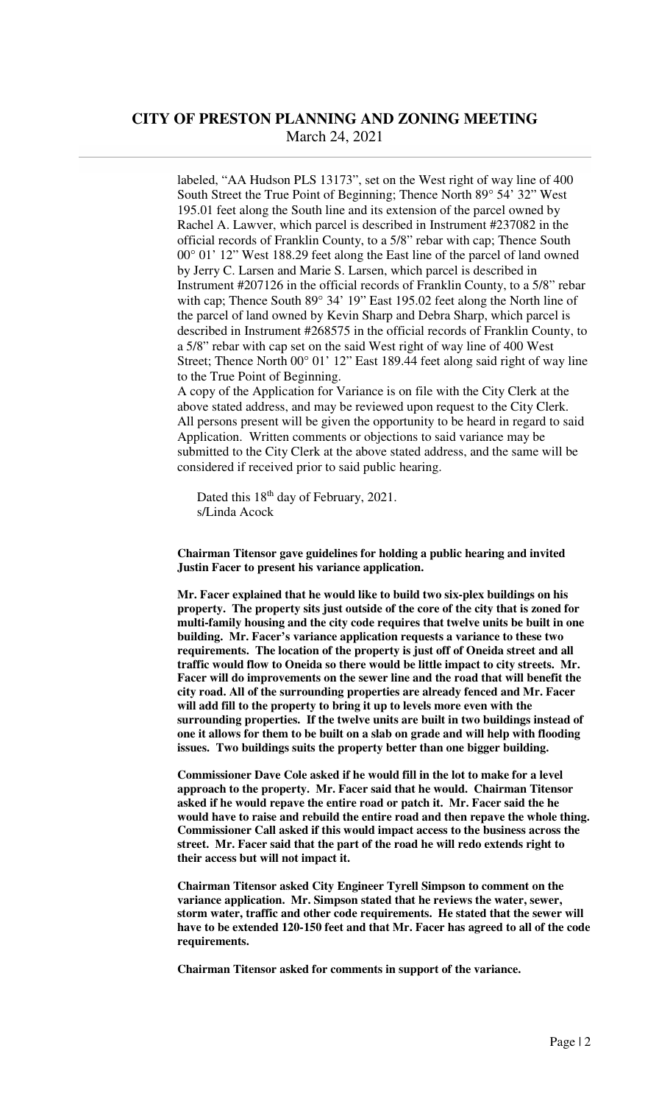labeled, "AA Hudson PLS 13173", set on the West right of way line of 400 South Street the True Point of Beginning; Thence North 89° 54' 32" West 195.01 feet along the South line and its extension of the parcel owned by Rachel A. Lawver, which parcel is described in Instrument #237082 in the official records of Franklin County, to a 5/8" rebar with cap; Thence South 00° 01' 12" West 188.29 feet along the East line of the parcel of land owned by Jerry C. Larsen and Marie S. Larsen, which parcel is described in Instrument #207126 in the official records of Franklin County, to a 5/8" rebar with cap; Thence South 89° 34' 19" East 195.02 feet along the North line of the parcel of land owned by Kevin Sharp and Debra Sharp, which parcel is described in Instrument #268575 in the official records of Franklin County, to a 5/8" rebar with cap set on the said West right of way line of 400 West Street; Thence North 00° 01' 12" East 189.44 feet along said right of way line to the True Point of Beginning.

 A copy of the Application for Variance is on file with the City Clerk at the above stated address, and may be reviewed upon request to the City Clerk. All persons present will be given the opportunity to be heard in regard to said Application. Written comments or objections to said variance may be submitted to the City Clerk at the above stated address, and the same will be considered if received prior to said public hearing.

Dated this 18<sup>th</sup> day of February, 2021. s/Linda Acock

**Chairman Titensor gave guidelines for holding a public hearing and invited Justin Facer to present his variance application.** 

 **Mr. Facer explained that he would like to build two six-plex buildings on his property. The property sits just outside of the core of the city that is zoned for multi-family housing and the city code requires that twelve units be built in one building. Mr. Facer's variance application requests a variance to these two requirements. The location of the property is just off of Oneida street and all traffic would flow to Oneida so there would be little impact to city streets. Mr. Facer will do improvements on the sewer line and the road that will benefit the city road. All of the surrounding properties are already fenced and Mr. Facer will add fill to the property to bring it up to levels more even with the surrounding properties. If the twelve units are built in two buildings instead of one it allows for them to be built on a slab on grade and will help with flooding issues. Two buildings suits the property better than one bigger building.** 

 **Commissioner Dave Cole asked if he would fill in the lot to make for a level approach to the property. Mr. Facer said that he would. Chairman Titensor asked if he would repave the entire road or patch it. Mr. Facer said the he would have to raise and rebuild the entire road and then repave the whole thing. Commissioner Call asked if this would impact access to the business across the street. Mr. Facer said that the part of the road he will redo extends right to their access but will not impact it.** 

**Chairman Titensor asked City Engineer Tyrell Simpson to comment on the variance application. Mr. Simpson stated that he reviews the water, sewer, storm water, traffic and other code requirements. He stated that the sewer will have to be extended 120-150 feet and that Mr. Facer has agreed to all of the code requirements.** 

 **Chairman Titensor asked for comments in support of the variance.**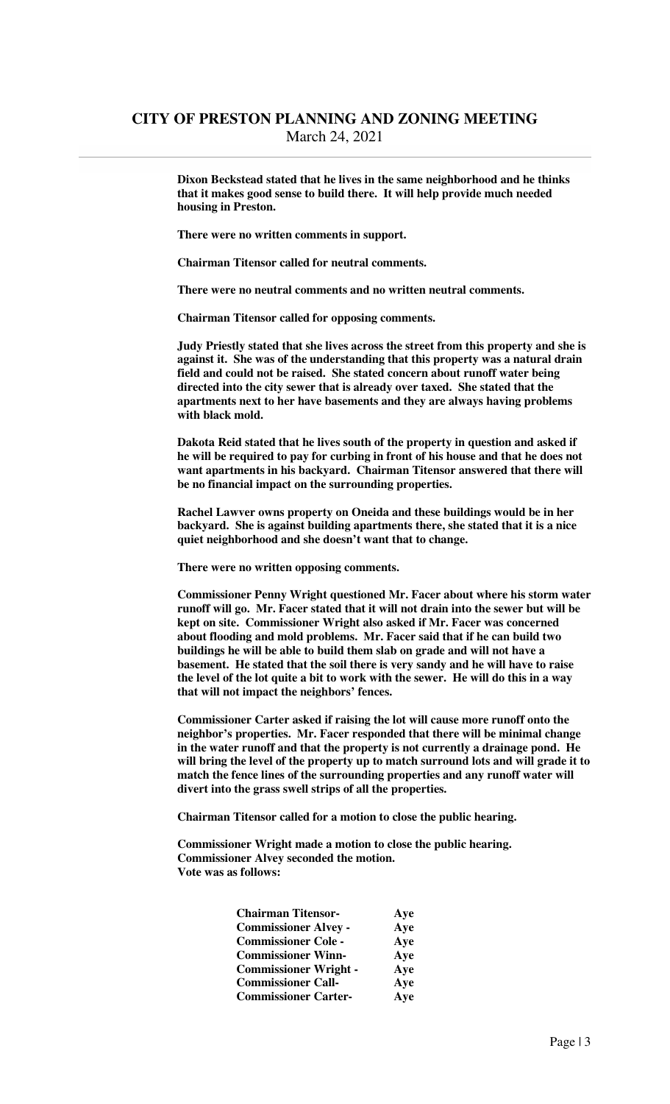**Dixon Beckstead stated that he lives in the same neighborhood and he thinks that it makes good sense to build there. It will help provide much needed housing in Preston.** 

**There were no written comments in support.** 

 **Chairman Titensor called for neutral comments.** 

 **There were no neutral comments and no written neutral comments.** 

 **Chairman Titensor called for opposing comments.** 

 **Judy Priestly stated that she lives across the street from this property and she is against it. She was of the understanding that this property was a natural drain field and could not be raised. She stated concern about runoff water being directed into the city sewer that is already over taxed. She stated that the apartments next to her have basements and they are always having problems with black mold.** 

 **Dakota Reid stated that he lives south of the property in question and asked if he will be required to pay for curbing in front of his house and that he does not want apartments in his backyard. Chairman Titensor answered that there will be no financial impact on the surrounding properties.** 

 **Rachel Lawver owns property on Oneida and these buildings would be in her backyard. She is against building apartments there, she stated that it is a nice quiet neighborhood and she doesn't want that to change.** 

 **There were no written opposing comments.** 

**Commissioner Penny Wright questioned Mr. Facer about where his storm water runoff will go. Mr. Facer stated that it will not drain into the sewer but will be kept on site. Commissioner Wright also asked if Mr. Facer was concerned about flooding and mold problems. Mr. Facer said that if he can build two buildings he will be able to build them slab on grade and will not have a basement. He stated that the soil there is very sandy and he will have to raise the level of the lot quite a bit to work with the sewer. He will do this in a way that will not impact the neighbors' fences.** 

 **Commissioner Carter asked if raising the lot will cause more runoff onto the neighbor's properties. Mr. Facer responded that there will be minimal change in the water runoff and that the property is not currently a drainage pond. He will bring the level of the property up to match surround lots and will grade it to match the fence lines of the surrounding properties and any runoff water will divert into the grass swell strips of all the properties.** 

 **Chairman Titensor called for a motion to close the public hearing.** 

 **Commissioner Wright made a motion to close the public hearing. Commissioner Alvey seconded the motion. Vote was as follows:** 

| <b>Chairman Titensor-</b>    | Aye |
|------------------------------|-----|
| <b>Commissioner Alvey -</b>  | Aye |
| <b>Commissioner Cole -</b>   | Aye |
| <b>Commissioner Winn-</b>    | Aye |
| <b>Commissioner Wright -</b> | Aye |
| <b>Commissioner Call-</b>    | Aye |
| <b>Commissioner Carter-</b>  | Aye |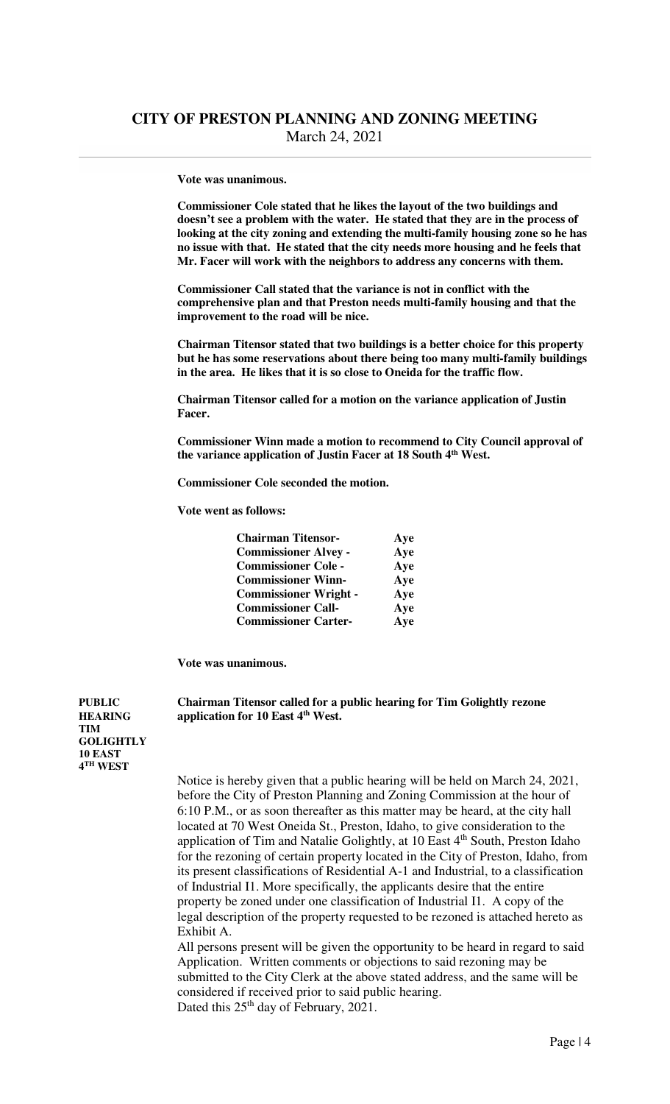#### **Vote was unanimous.**

**Commissioner Cole stated that he likes the layout of the two buildings and doesn't see a problem with the water. He stated that they are in the process of looking at the city zoning and extending the multi-family housing zone so he has no issue with that. He stated that the city needs more housing and he feels that Mr. Facer will work with the neighbors to address any concerns with them.** 

 **Commissioner Call stated that the variance is not in conflict with the comprehensive plan and that Preston needs multi-family housing and that the improvement to the road will be nice.** 

 **Chairman Titensor stated that two buildings is a better choice for this property but he has some reservations about there being too many multi-family buildings in the area. He likes that it is so close to Oneida for the traffic flow.** 

 **Chairman Titensor called for a motion on the variance application of Justin Facer.** 

 **Commissioner Winn made a motion to recommend to City Council approval of the variance application of Justin Facer at 18 South 4th West.** 

 **Commissioner Cole seconded the motion.** 

 **Vote went as follows:** 

| <b>Chairman Titensor-</b>    | <b>Aye</b> |
|------------------------------|------------|
| <b>Commissioner Alvey -</b>  | Aye        |
| <b>Commissioner Cole -</b>   | Aye        |
| <b>Commissioner Winn-</b>    | Aye        |
| <b>Commissioner Wright -</b> | Aye        |
| <b>Commissioner Call-</b>    | Aye        |
| <b>Commissioner Carter-</b>  | Aye        |

**Vote was unanimous.** 

**PUBLIC Chairman Titensor called for a public hearing for Tim Golightly rezone HEARING application for 10 East 4th West.** 

**TIM GOLIGHTLY 10 EAST 4 TH WEST** 

> Notice is hereby given that a public hearing will be held on March 24, 2021, before the City of Preston Planning and Zoning Commission at the hour of 6:10 P.M., or as soon thereafter as this matter may be heard, at the city hall located at 70 West Oneida St., Preston, Idaho, to give consideration to the application of Tim and Natalie Golightly, at 10 East 4<sup>th</sup> South, Preston Idaho for the rezoning of certain property located in the City of Preston, Idaho, from its present classifications of Residential A-1 and Industrial, to a classification of Industrial I1. More specifically, the applicants desire that the entire property be zoned under one classification of Industrial I1. A copy of the legal description of the property requested to be rezoned is attached hereto as Exhibit A.

> All persons present will be given the opportunity to be heard in regard to said Application. Written comments or objections to said rezoning may be submitted to the City Clerk at the above stated address, and the same will be considered if received prior to said public hearing. Dated this 25<sup>th</sup> day of February, 2021.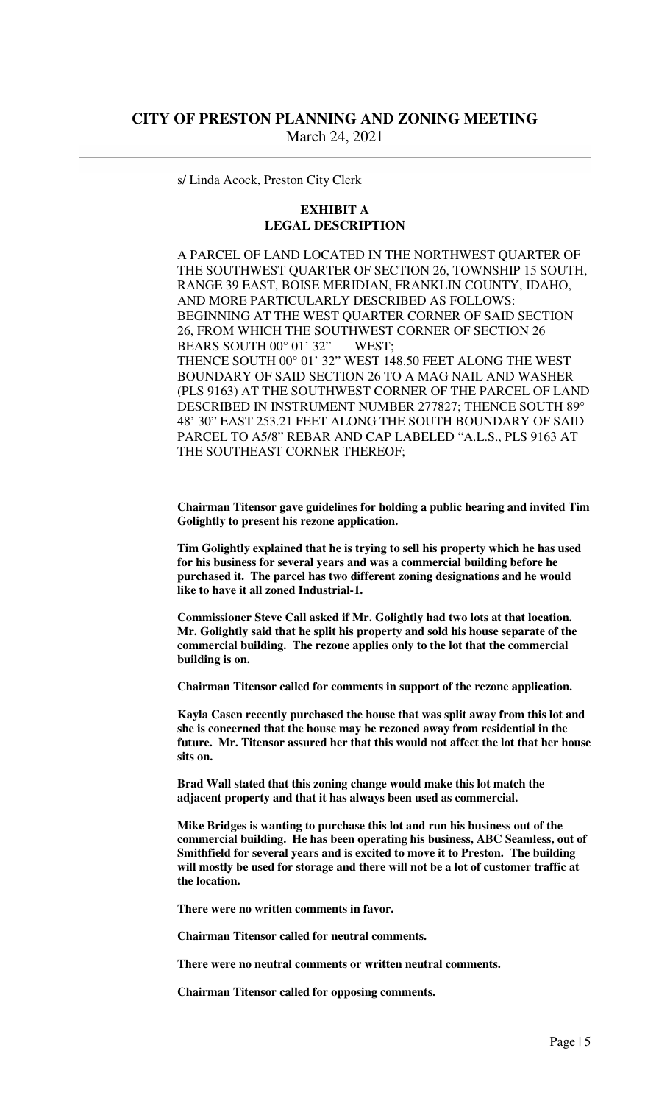s/ Linda Acock, Preston City Clerk

#### **EXHIBIT A LEGAL DESCRIPTION**

 A PARCEL OF LAND LOCATED IN THE NORTHWEST QUARTER OF THE SOUTHWEST QUARTER OF SECTION 26, TOWNSHIP 15 SOUTH, RANGE 39 EAST, BOISE MERIDIAN, FRANKLIN COUNTY, IDAHO, AND MORE PARTICULARLY DESCRIBED AS FOLLOWS: BEGINNING AT THE WEST QUARTER CORNER OF SAID SECTION 26, FROM WHICH THE SOUTHWEST CORNER OF SECTION 26 BEARS SOUTH 00° 01' 32" WEST; THENCE SOUTH 00° 01' 32" WEST 148.50 FEET ALONG THE WEST BOUNDARY OF SAID SECTION 26 TO A MAG NAIL AND WASHER (PLS 9163) AT THE SOUTHWEST CORNER OF THE PARCEL OF LAND DESCRIBED IN INSTRUMENT NUMBER 277827; THENCE SOUTH 89° 48' 30" EAST 253.21 FEET ALONG THE SOUTH BOUNDARY OF SAID PARCEL TO A5/8" REBAR AND CAP LABELED "A.L.S., PLS 9163 AT THE SOUTHEAST CORNER THEREOF;

 **Chairman Titensor gave guidelines for holding a public hearing and invited Tim Golightly to present his rezone application.** 

 **Tim Golightly explained that he is trying to sell his property which he has used for his business for several years and was a commercial building before he purchased it. The parcel has two different zoning designations and he would like to have it all zoned Industrial-1.** 

 **Commissioner Steve Call asked if Mr. Golightly had two lots at that location. Mr. Golightly said that he split his property and sold his house separate of the commercial building. The rezone applies only to the lot that the commercial building is on.** 

 **Chairman Titensor called for comments in support of the rezone application.** 

 **Kayla Casen recently purchased the house that was split away from this lot and she is concerned that the house may be rezoned away from residential in the future. Mr. Titensor assured her that this would not affect the lot that her house sits on.** 

 **Brad Wall stated that this zoning change would make this lot match the adjacent property and that it has always been used as commercial.** 

 **Mike Bridges is wanting to purchase this lot and run his business out of the commercial building. He has been operating his business, ABC Seamless, out of Smithfield for several years and is excited to move it to Preston. The building will mostly be used for storage and there will not be a lot of customer traffic at the location.** 

 **There were no written comments in favor.** 

 **Chairman Titensor called for neutral comments.** 

 **There were no neutral comments or written neutral comments.** 

 **Chairman Titensor called for opposing comments.**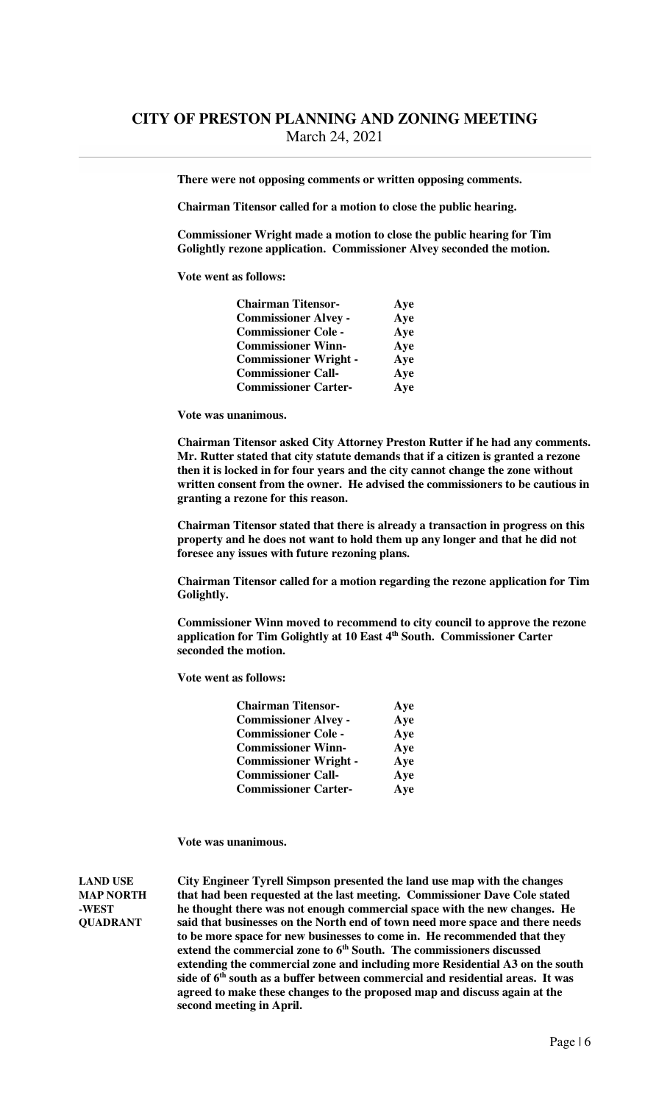**There were not opposing comments or written opposing comments.** 

 **Chairman Titensor called for a motion to close the public hearing.** 

 **Commissioner Wright made a motion to close the public hearing for Tim Golightly rezone application. Commissioner Alvey seconded the motion.** 

 **Vote went as follows:** 

| <b>Chairman Titensor-</b>    | Aye |
|------------------------------|-----|
| <b>Commissioner Alvey -</b>  | Aye |
| <b>Commissioner Cole -</b>   | Aye |
| <b>Commissioner Winn-</b>    | Aye |
| <b>Commissioner Wright -</b> | Aye |
| <b>Commissioner Call-</b>    | Aye |
| <b>Commissioner Carter-</b>  | Aye |

 **Vote was unanimous.** 

 **Chairman Titensor asked City Attorney Preston Rutter if he had any comments. Mr. Rutter stated that city statute demands that if a citizen is granted a rezone then it is locked in for four years and the city cannot change the zone without written consent from the owner. He advised the commissioners to be cautious in granting a rezone for this reason.** 

 **Chairman Titensor stated that there is already a transaction in progress on this property and he does not want to hold them up any longer and that he did not foresee any issues with future rezoning plans.** 

 **Chairman Titensor called for a motion regarding the rezone application for Tim Golightly.** 

 **Commissioner Winn moved to recommend to city council to approve the rezone application for Tim Golightly at 10 East 4th South. Commissioner Carter seconded the motion.** 

 **Vote went as follows:** 

| <b>Chairman Titensor-</b>    | Aye |
|------------------------------|-----|
| <b>Commissioner Alvey -</b>  | Aye |
| <b>Commissioner Cole -</b>   | Aye |
| <b>Commissioner Winn-</b>    | Aye |
| <b>Commissioner Wright -</b> | Aye |
| <b>Commissioner Call-</b>    | Aye |
| <b>Commissioner Carter-</b>  | Aye |

**Vote was unanimous.** 

**LAND USE City Engineer Tyrell Simpson presented the land use map with the changes MAP NORTH that had been requested at the last meeting. Commissioner Dave Cole stated -WEST he thought there was not enough commercial space with the new changes. He QUADRANT said that businesses on the North end of town need more space and there needs to be more space for new businesses to come in. He recommended that they extend the commercial zone to 6th South. The commissioners discussed extending the commercial zone and including more Residential A3 on the south side of 6th south as a buffer between commercial and residential areas. It was agreed to make these changes to the proposed map and discuss again at the second meeting in April.**